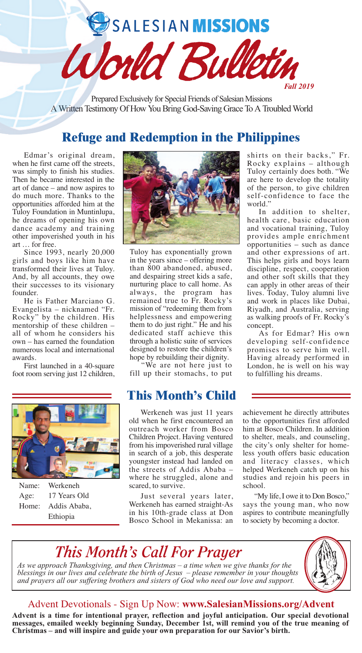SALESIAN MISSIONS

Prepared Exclusively for Special Friends of Salesian Missions A Written Testimony Of How You Bring God-Saving Grace To A Troubled World

World Bull

# **Refuge and Redemption in the Philippines**

Edmar's original dream, when he first came off the streets, was simply to finish his studies. Then he became interested in the art of dance – and now aspires to do much more. Thanks to the opportunities afforded him at the Tuloy Foundation in Muntinlupa, he dreams of opening his own dance academy and training other impoverished youth in his art … for free.

Since 1993, nearly 20,000 girls and boys like him have transformed their lives at Tuloy. And, by all accounts, they owe their successes to its visionary founder.

He is Father Marciano G. Evangelista – nicknamed "Fr. Rocky" by the children. His mentorship of these children – all of whom he considers his own – has earned the foundation numerous local and international awards.

First launched in a 40-square foot room serving just 12 children,



Name: Werkeneh Age: 17 Years Old Home: Addis Ababa, Ethiopia



Tuloy has exponentially grown in the years since – offering more than 800 abandoned, abused, and despairing street kids a safe, nurturing place to call home. As always, the program has remained true to Fr. Rocky's mission of "redeeming them from helplessness and empowering them to do just right." He and his dedicated staff achieve this through a holistic suite of services designed to restore the children's hope by rebuilding their dignity.

"We are not here just to fill up their stomachs, to put

## **This Month's Child**

Werkeneh was just 11 years old when he first encountered an outreach worker from Bosco Children Project. Having ventured from his impoverished rural village in search of a job, this desperate youngster instead had landed on the streets of Addis Ababa – where he struggled, alone and scared, to survive.

Just several years later, Werkeneh has earned straight-As in his 10th-grade class at Don Bosco School in Mekanissa: an shirts on their backs," Fr. Rocky explains – although Tuloy certainly does both. "We are here to develop the totality of the person, to give children self-confidence to face the world."

*Fall 2019*

In addition to shelter, health care, basic education and vocational training, Tuloy provides ample enrichment opportunities – such as dance and other expressions of art. This helps girls and boys learn discipline, respect, cooperation and other soft skills that they can apply in other areas of their lives. Today, Tuloy alumni live and work in places like Dubai, Riyadh, and Australia, serving as walking proofs of Fr. Rocky's concept.

As for Edmar? His own developing self-confidence promises to serve him well. Having already performed in London, he is well on his way to fulfilling his dreams.

achievement he directly attributes to the opportunities first afforded him at Bosco Children. In addition to shelter, meals, and counseling, the city's only shelter for homeless youth offers basic education and literacy classes, which helped Werkeneh catch up on his studies and rejoin his peers in school.

"My life, I owe it to Don Bosco," says the young man, who now aspires to contribute meaningfully to society by becoming a doctor.

# *This Month's Call For Prayer*

*As we approach Thanksgiving, and then Christmas – a time when we give thanks for the blessings in our lives and celebrate the birth of Jesus – please remember in your thoughts and prayers all our suffering brothers and sisters of God who need our love and support.*



### Advent Devotionals - Sign Up Now: **www.SalesianMissions.org/Advent**

**Advent is a time for intentional prayer, reflection and joyful anticipation. Our special devotional messages, emailed weekly beginning Sunday, December 1st, will remind you of the true meaning of Christmas – and will inspire and guide your own preparation for our Savior's birth.**